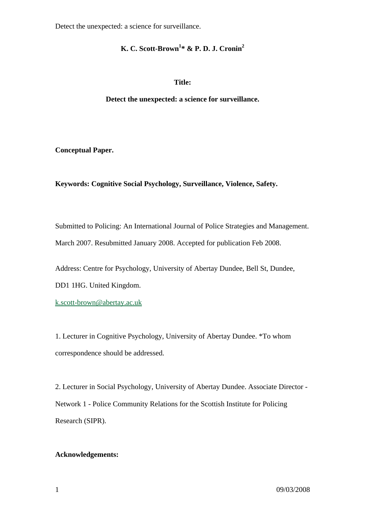# **K. C. Scott-Brown1 \* & P. D. J. Cronin2**

## **Title:**

**Detect the unexpected: a science for surveillance.** 

**Conceptual Paper.** 

# **Keywords: Cognitive Social Psychology, Surveillance, Violence, Safety.**

Submitted to Policing: An International Journal of Police Strategies and Management. March 2007. Resubmitted January 2008. Accepted for publication Feb 2008.

Address: Centre for Psychology, University of Abertay Dundee, Bell St, Dundee,

DD1 1HG. United Kingdom.

k.scott-brown@abertay.ac.uk

1. Lecturer in Cognitive Psychology, University of Abertay Dundee. \*To whom correspondence should be addressed.

2. Lecturer in Social Psychology, University of Abertay Dundee. Associate Director - Network 1 - Police Community Relations for the Scottish Institute for Policing Research (SIPR).

# **Acknowledgements:**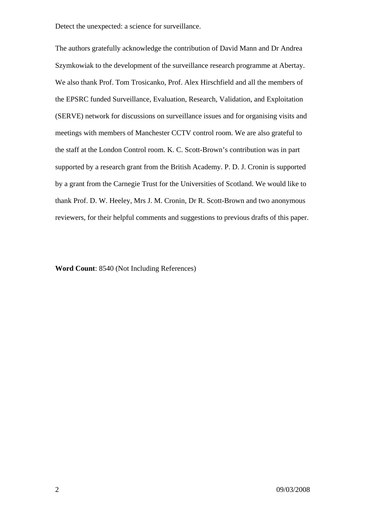The authors gratefully acknowledge the contribution of David Mann and Dr Andrea Szymkowiak to the development of the surveillance research programme at Abertay. We also thank Prof. Tom Trosicanko, Prof. Alex Hirschfield and all the members of the EPSRC funded Surveillance, Evaluation, Research, Validation, and Exploitation (SERVE) network for discussions on surveillance issues and for organising visits and meetings with members of Manchester CCTV control room. We are also grateful to the staff at the London Control room. K. C. Scott-Brown's contribution was in part supported by a research grant from the British Academy. P. D. J. Cronin is supported by a grant from the Carnegie Trust for the Universities of Scotland. We would like to thank Prof. D. W. Heeley, Mrs J. M. Cronin, Dr R. Scott-Brown and two anonymous reviewers, for their helpful comments and suggestions to previous drafts of this paper.

**Word Count**: 8540 (Not Including References)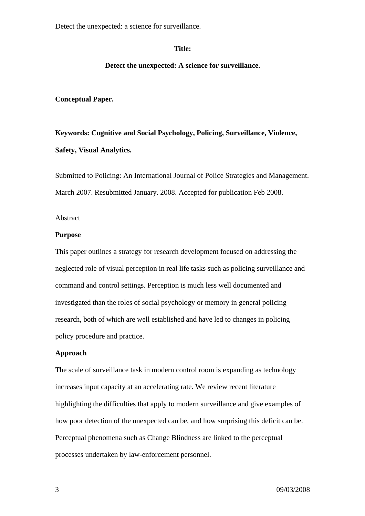#### **Title:**

### **Detect the unexpected: A science for surveillance.**

### **Conceptual Paper.**

**Keywords: Cognitive and Social Psychology, Policing, Surveillance, Violence, Safety, Visual Analytics.** 

Submitted to Policing: An International Journal of Police Strategies and Management. March 2007. Resubmitted January. 2008. Accepted for publication Feb 2008.

## Abstract

#### **Purpose**

This paper outlines a strategy for research development focused on addressing the neglected role of visual perception in real life tasks such as policing surveillance and command and control settings. Perception is much less well documented and investigated than the roles of social psychology or memory in general policing research, both of which are well established and have led to changes in policing policy procedure and practice.

## **Approach**

The scale of surveillance task in modern control room is expanding as technology increases input capacity at an accelerating rate. We review recent literature highlighting the difficulties that apply to modern surveillance and give examples of how poor detection of the unexpected can be, and how surprising this deficit can be. Perceptual phenomena such as Change Blindness are linked to the perceptual processes undertaken by law-enforcement personnel.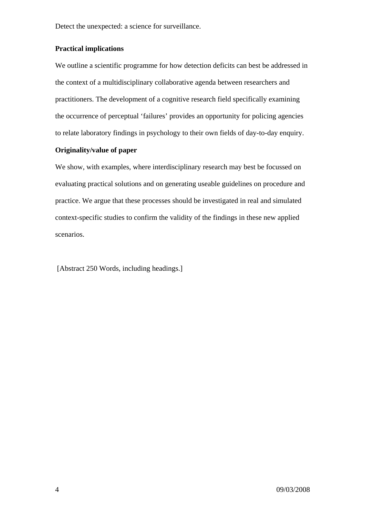## **Practical implications**

We outline a scientific programme for how detection deficits can best be addressed in the context of a multidisciplinary collaborative agenda between researchers and practitioners. The development of a cognitive research field specifically examining the occurrence of perceptual 'failures' provides an opportunity for policing agencies to relate laboratory findings in psychology to their own fields of day-to-day enquiry.

# **Originality/value of paper**

We show, with examples, where interdisciplinary research may best be focussed on evaluating practical solutions and on generating useable guidelines on procedure and practice. We argue that these processes should be investigated in real and simulated context-specific studies to confirm the validity of the findings in these new applied scenarios.

[Abstract 250 Words, including headings.]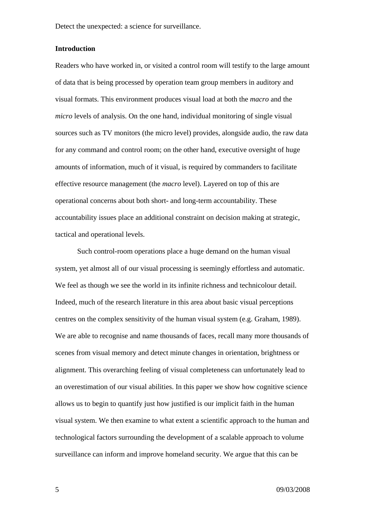#### **Introduction**

Readers who have worked in, or visited a control room will testify to the large amount of data that is being processed by operation team group members in auditory and visual formats. This environment produces visual load at both the *macro* and the *micro* levels of analysis. On the one hand, individual monitoring of single visual sources such as TV monitors (the micro level) provides, alongside audio, the raw data for any command and control room; on the other hand, executive oversight of huge amounts of information, much of it visual, is required by commanders to facilitate effective resource management (the *macro* level). Layered on top of this are operational concerns about both short- and long-term accountability. These accountability issues place an additional constraint on decision making at strategic, tactical and operational levels.

Such control-room operations place a huge demand on the human visual system, yet almost all of our visual processing is seemingly effortless and automatic. We feel as though we see the world in its infinite richness and technicolour detail. Indeed, much of the research literature in this area about basic visual perceptions centres on the complex sensitivity of the human visual system (e.g. Graham, 1989). We are able to recognise and name thousands of faces, recall many more thousands of scenes from visual memory and detect minute changes in orientation, brightness or alignment. This overarching feeling of visual completeness can unfortunately lead to an overestimation of our visual abilities. In this paper we show how cognitive science allows us to begin to quantify just how justified is our implicit faith in the human visual system. We then examine to what extent a scientific approach to the human and technological factors surrounding the development of a scalable approach to volume surveillance can inform and improve homeland security. We argue that this can be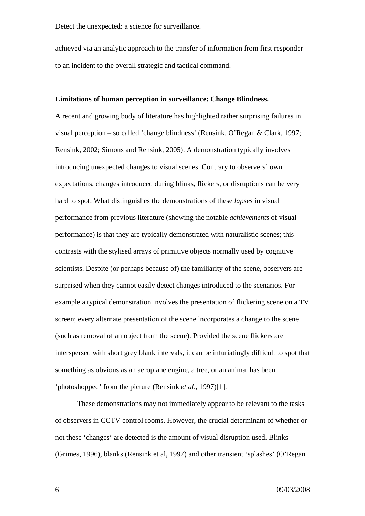achieved via an analytic approach to the transfer of information from first responder to an incident to the overall strategic and tactical command.

#### **Limitations of human perception in surveillance: Change Blindness.**

A recent and growing body of literature has highlighted rather surprising failures in visual perception – so called 'change blindness' (Rensink, O'Regan & Clark, 1997; Rensink, 2002; Simons and Rensink, 2005). A demonstration typically involves introducing unexpected changes to visual scenes. Contrary to observers' own expectations, changes introduced during blinks, flickers, or disruptions can be very hard to spot. What distinguishes the demonstrations of these *lapses* in visual performance from previous literature (showing the notable *achievements* of visual performance) is that they are typically demonstrated with naturalistic scenes; this contrasts with the stylised arrays of primitive objects normally used by cognitive scientists. Despite (or perhaps because of) the familiarity of the scene, observers are surprised when they cannot easily detect changes introduced to the scenarios. For example a typical demonstration involves the presentation of flickering scene on a TV screen; every alternate presentation of the scene incorporates a change to the scene (such as removal of an object from the scene). Provided the scene flickers are interspersed with short grey blank intervals, it can be infuriatingly difficult to spot that something as obvious as an aeroplane engine, a tree, or an animal has been 'photoshopped' from the picture (Rensink *et al*., 1997)[1].

These demonstrations may not immediately appear to be relevant to the tasks of observers in CCTV control rooms. However, the crucial determinant of whether or not these 'changes' are detected is the amount of visual disruption used. Blinks (Grimes, 1996), blanks (Rensink et al, 1997) and other transient 'splashes' (O'Regan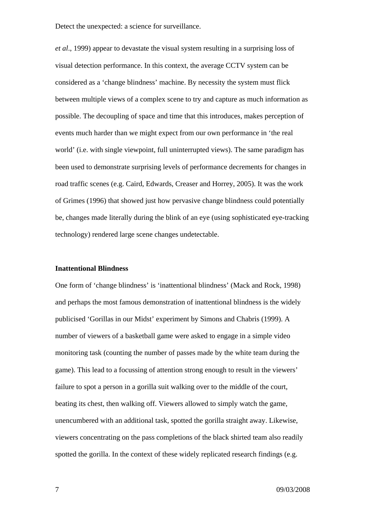*et al*., 1999) appear to devastate the visual system resulting in a surprising loss of visual detection performance. In this context, the average CCTV system can be considered as a 'change blindness' machine. By necessity the system must flick between multiple views of a complex scene to try and capture as much information as possible. The decoupling of space and time that this introduces, makes perception of events much harder than we might expect from our own performance in 'the real world' (i.e. with single viewpoint, full uninterrupted views). The same paradigm has been used to demonstrate surprising levels of performance decrements for changes in road traffic scenes (e.g. Caird, Edwards, Creaser and Horrey, 2005). It was the work of Grimes (1996) that showed just how pervasive change blindness could potentially be, changes made literally during the blink of an eye (using sophisticated eye-tracking technology) rendered large scene changes undetectable.

#### **Inattentional Blindness**

One form of 'change blindness' is 'inattentional blindness' (Mack and Rock, 1998) and perhaps the most famous demonstration of inattentional blindness is the widely publicised 'Gorillas in our Midst' experiment by Simons and Chabris (1999). A number of viewers of a basketball game were asked to engage in a simple video monitoring task (counting the number of passes made by the white team during the game). This lead to a focussing of attention strong enough to result in the viewers' failure to spot a person in a gorilla suit walking over to the middle of the court, beating its chest, then walking off. Viewers allowed to simply watch the game, unencumbered with an additional task, spotted the gorilla straight away. Likewise, viewers concentrating on the pass completions of the black shirted team also readily spotted the gorilla. In the context of these widely replicated research findings (e.g.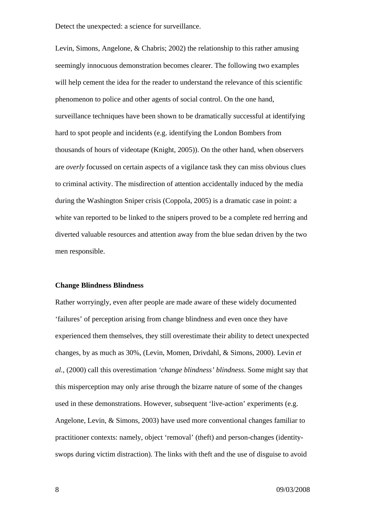Levin, Simons, Angelone, & Chabris; 2002) the relationship to this rather amusing seemingly innocuous demonstration becomes clearer. The following two examples will help cement the idea for the reader to understand the relevance of this scientific phenomenon to police and other agents of social control. On the one hand, surveillance techniques have been shown to be dramatically successful at identifying hard to spot people and incidents (e.g. identifying the London Bombers from thousands of hours of videotape (Knight, 2005)). On the other hand, when observers are *overly* focussed on certain aspects of a vigilance task they can miss obvious clues to criminal activity. The misdirection of attention accidentally induced by the media during the Washington Sniper crisis (Coppola, 2005) is a dramatic case in point: a white van reported to be linked to the snipers proved to be a complete red herring and diverted valuable resources and attention away from the blue sedan driven by the two men responsible.

#### **Change Blindness Blindness**

Rather worryingly, even after people are made aware of these widely documented 'failures' of perception arising from change blindness and even once they have experienced them themselves, they still overestimate their ability to detect unexpected changes, by as much as 30%, (Levin, Momen, Drivdahl, & Simons, 2000). Levin *et al.*, (2000) call this overestimation *'change blindness' blindness*. Some might say that this misperception may only arise through the bizarre nature of some of the changes used in these demonstrations. However, subsequent 'live-action' experiments (e.g. Angelone, Levin, & Simons, 2003) have used more conventional changes familiar to practitioner contexts: namely, object 'removal' (theft) and person-changes (identityswops during victim distraction). The links with theft and the use of disguise to avoid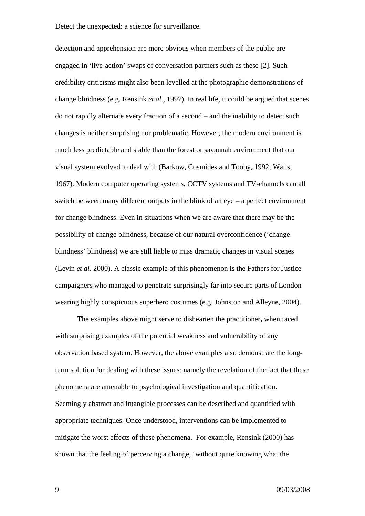detection and apprehension are more obvious when members of the public are engaged in 'live-action' swaps of conversation partners such as these [2]. Such credibility criticisms might also been levelled at the photographic demonstrations of change blindness (e.g. Rensink *et al*., 1997). In real life, it could be argued that scenes do not rapidly alternate every fraction of a second – and the inability to detect such changes is neither surprising nor problematic. However, the modern environment is much less predictable and stable than the forest or savannah environment that our visual system evolved to deal with (Barkow, Cosmides and Tooby, 1992; Walls, 1967). Modern computer operating systems, CCTV systems and TV-channels can all switch between many different outputs in the blink of an eye – a perfect environment for change blindness. Even in situations when we are aware that there may be the possibility of change blindness, because of our natural overconfidence ('change blindness' blindness) we are still liable to miss dramatic changes in visual scenes (Levin *et al*. 2000). A classic example of this phenomenon is the Fathers for Justice campaigners who managed to penetrate surprisingly far into secure parts of London wearing highly conspicuous superhero costumes (e.g. Johnston and Alleyne, 2004).

The examples above might serve to dishearten the practitioner**,** when faced with surprising examples of the potential weakness and vulnerability of any observation based system. However, the above examples also demonstrate the longterm solution for dealing with these issues: namely the revelation of the fact that these phenomena are amenable to psychological investigation and quantification. Seemingly abstract and intangible processes can be described and quantified with appropriate techniques. Once understood, interventions can be implemented to mitigate the worst effects of these phenomena. For example, Rensink (2000) has shown that the feeling of perceiving a change, 'without quite knowing what the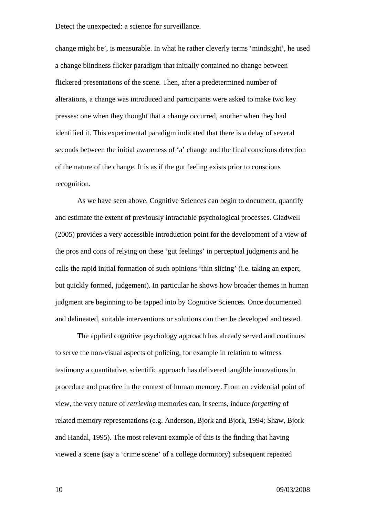change might be', is measurable. In what he rather cleverly terms 'mindsight', he used a change blindness flicker paradigm that initially contained no change between flickered presentations of the scene. Then, after a predetermined number of alterations, a change was introduced and participants were asked to make two key presses: one when they thought that a change occurred, another when they had identified it. This experimental paradigm indicated that there is a delay of several seconds between the initial awareness of 'a' change and the final conscious detection of the nature of the change. It is as if the gut feeling exists prior to conscious recognition.

As we have seen above, Cognitive Sciences can begin to document, quantify and estimate the extent of previously intractable psychological processes. Gladwell (2005) provides a very accessible introduction point for the development of a view of the pros and cons of relying on these 'gut feelings' in perceptual judgments and he calls the rapid initial formation of such opinions 'thin slicing' (i.e. taking an expert, but quickly formed, judgement). In particular he shows how broader themes in human judgment are beginning to be tapped into by Cognitive Sciences. Once documented and delineated, suitable interventions or solutions can then be developed and tested.

The applied cognitive psychology approach has already served and continues to serve the non-visual aspects of policing, for example in relation to witness testimony a quantitative, scientific approach has delivered tangible innovations in procedure and practice in the context of human memory. From an evidential point of view, the very nature of *retrieving* memories can, it seems, induce *forgetting* of related memory representations (e.g. Anderson, Bjork and Bjork, 1994; Shaw, Bjork and Handal, 1995). The most relevant example of this is the finding that having viewed a scene (say a 'crime scene' of a college dormitory) subsequent repeated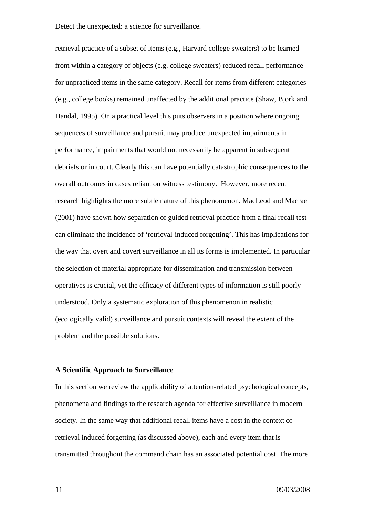retrieval practice of a subset of items (e.g., Harvard college sweaters) to be learned from within a category of objects (e.g. college sweaters) reduced recall performance for unpracticed items in the same category. Recall for items from different categories (e.g., college books) remained unaffected by the additional practice (Shaw, Bjork and Handal, 1995). On a practical level this puts observers in a position where ongoing sequences of surveillance and pursuit may produce unexpected impairments in performance, impairments that would not necessarily be apparent in subsequent debriefs or in court. Clearly this can have potentially catastrophic consequences to the overall outcomes in cases reliant on witness testimony. However, more recent research highlights the more subtle nature of this phenomenon. MacLeod and Macrae (2001) have shown how separation of guided retrieval practice from a final recall test can eliminate the incidence of 'retrieval-induced forgetting'. This has implications for the way that overt and covert surveillance in all its forms is implemented. In particular the selection of material appropriate for dissemination and transmission between operatives is crucial, yet the efficacy of different types of information is still poorly understood. Only a systematic exploration of this phenomenon in realistic (ecologically valid) surveillance and pursuit contexts will reveal the extent of the problem and the possible solutions.

### **A Scientific Approach to Surveillance**

In this section we review the applicability of attention-related psychological concepts, phenomena and findings to the research agenda for effective surveillance in modern society. In the same way that additional recall items have a cost in the context of retrieval induced forgetting (as discussed above), each and every item that is transmitted throughout the command chain has an associated potential cost. The more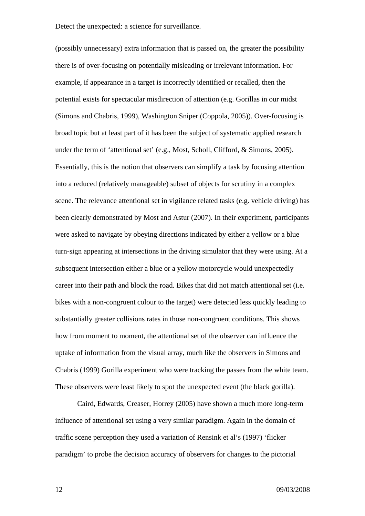(possibly unnecessary) extra information that is passed on, the greater the possibility there is of over-focusing on potentially misleading or irrelevant information. For example, if appearance in a target is incorrectly identified or recalled, then the potential exists for spectacular misdirection of attention (e.g. Gorillas in our midst (Simons and Chabris, 1999), Washington Sniper (Coppola, 2005)). Over-focusing is broad topic but at least part of it has been the subject of systematic applied research under the term of 'attentional set' (e.g., Most, Scholl, Clifford, & Simons, 2005). Essentially, this is the notion that observers can simplify a task by focusing attention into a reduced (relatively manageable) subset of objects for scrutiny in a complex scene. The relevance attentional set in vigilance related tasks (e.g. vehicle driving) has been clearly demonstrated by Most and Astur (2007). In their experiment, participants were asked to navigate by obeying directions indicated by either a yellow or a blue turn-sign appearing at intersections in the driving simulator that they were using. At a subsequent intersection either a blue or a yellow motorcycle would unexpectedly career into their path and block the road. Bikes that did not match attentional set (i.e. bikes with a non-congruent colour to the target) were detected less quickly leading to substantially greater collisions rates in those non-congruent conditions. This shows how from moment to moment, the attentional set of the observer can influence the uptake of information from the visual array, much like the observers in Simons and Chabris (1999) Gorilla experiment who were tracking the passes from the white team. These observers were least likely to spot the unexpected event (the black gorilla).

Caird, Edwards, Creaser, Horrey (2005) have shown a much more long-term influence of attentional set using a very similar paradigm. Again in the domain of traffic scene perception they used a variation of Rensink et al's (1997) 'flicker paradigm' to probe the decision accuracy of observers for changes to the pictorial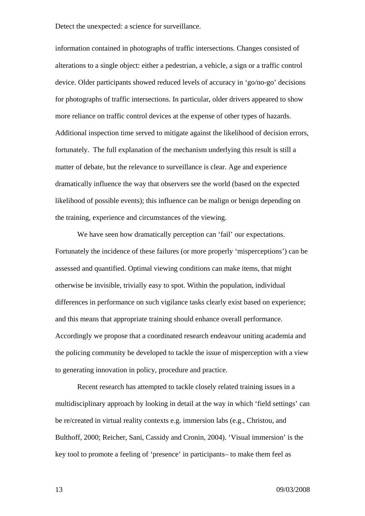information contained in photographs of traffic intersections. Changes consisted of alterations to a single object: either a pedestrian, a vehicle, a sign or a traffic control device. Older participants showed reduced levels of accuracy in 'go/no-go' decisions for photographs of traffic intersections. In particular, older drivers appeared to show more reliance on traffic control devices at the expense of other types of hazards. Additional inspection time served to mitigate against the likelihood of decision errors, fortunately. The full explanation of the mechanism underlying this result is still a matter of debate, but the relevance to surveillance is clear. Age and experience dramatically influence the way that observers see the world (based on the expected likelihood of possible events); this influence can be malign or benign depending on the training, experience and circumstances of the viewing.

We have seen how dramatically perception can 'fail' our expectations. Fortunately the incidence of these failures (or more properly 'misperceptions') can be assessed and quantified. Optimal viewing conditions can make items, that might otherwise be invisible, trivially easy to spot. Within the population, individual differences in performance on such vigilance tasks clearly exist based on experience; and this means that appropriate training should enhance overall performance. Accordingly we propose that a coordinated research endeavour uniting academia and the policing community be developed to tackle the issue of misperception with a view to generating innovation in policy, procedure and practice.

Recent research has attempted to tackle closely related training issues in a multidisciplinary approach by looking in detail at the way in which 'field settings' can be re/created in virtual reality contexts e.g. immersion labs (e.g., Christou, and Bulthoff, 2000; Reicher, Sani, Cassidy and Cronin, 2004). 'Visual immersion' is the key tool to promote a feeling of 'presence' in participants– to make them feel as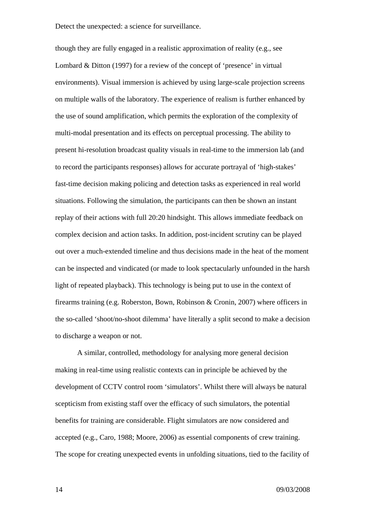though they are fully engaged in a realistic approximation of reality (e.g., see Lombard & Ditton (1997) for a review of the concept of 'presence' in virtual environments). Visual immersion is achieved by using large-scale projection screens on multiple walls of the laboratory. The experience of realism is further enhanced by the use of sound amplification, which permits the exploration of the complexity of multi-modal presentation and its effects on perceptual processing. The ability to present hi-resolution broadcast quality visuals in real-time to the immersion lab (and to record the participants responses) allows for accurate portrayal of 'high-stakes' fast-time decision making policing and detection tasks as experienced in real world situations. Following the simulation, the participants can then be shown an instant replay of their actions with full 20:20 hindsight. This allows immediate feedback on complex decision and action tasks. In addition, post-incident scrutiny can be played out over a much-extended timeline and thus decisions made in the heat of the moment can be inspected and vindicated (or made to look spectacularly unfounded in the harsh light of repeated playback). This technology is being put to use in the context of firearms training (e.g. Roberston, Bown, Robinson & Cronin, 2007) where officers in the so-called 'shoot/no-shoot dilemma' have literally a split second to make a decision to discharge a weapon or not.

A similar, controlled, methodology for analysing more general decision making in real-time using realistic contexts can in principle be achieved by the development of CCTV control room 'simulators'. Whilst there will always be natural scepticism from existing staff over the efficacy of such simulators, the potential benefits for training are considerable. Flight simulators are now considered and accepted (e.g., Caro, 1988; Moore, 2006) as essential components of crew training. The scope for creating unexpected events in unfolding situations, tied to the facility of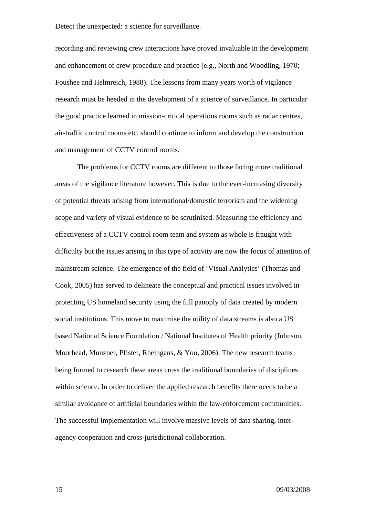recording and reviewing crew interactions have proved invaluable in the development and enhancement of crew procedure and practice (e.g., North and Woodling, 1970; Foushee and Helmreich, 1988). The lessons from many years worth of vigilance research must be heeded in the development of a science of surveillance. In particular the good practice learned in mission-critical operations rooms such as radar centres, air-traffic control rooms etc. should continue to inform and develop the construction and management of CCTV control rooms.

The problems for CCTV rooms are different to those facing more traditional areas of the vigilance literature however. This is due to the ever-increasing diversity of potential threats arising from international/domestic terrorism and the widening scope and variety of visual evidence to be scrutinised. Measuring the efficiency and effectiveness of a CCTV control room team and system as whole is fraught with difficulty but the issues arising in this type of activity are now the focus of attention of mainstream science. The emergence of the field of 'Visual Analytics' (Thomas and Cook, 2005) has served to delineate the conceptual and practical issues involved in protecting US homeland security using the full panoply of data created by modern social institutions. This move to maximise the utility of data streams is also a US based National Science Foundation / National Institutes of Health priority (Johnson, Moorhead, Munzner, Pfister, Rheingans, & Yoo, 2006). The new research teams being formed to research these areas cross the traditional boundaries of disciplines within science. In order to deliver the applied research benefits there needs to be a similar avoidance of artificial boundaries within the law-enforcement communities. The successful implementation will involve massive levels of data sharing, interagency cooperation and cross-jurisdictional collaboration.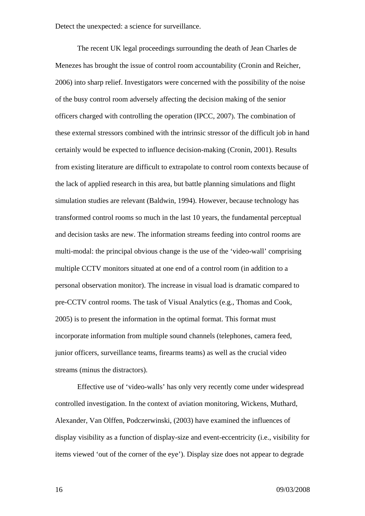The recent UK legal proceedings surrounding the death of Jean Charles de Menezes has brought the issue of control room accountability (Cronin and Reicher, 2006) into sharp relief. Investigators were concerned with the possibility of the noise of the busy control room adversely affecting the decision making of the senior officers charged with controlling the operation (IPCC, 2007). The combination of these external stressors combined with the intrinsic stressor of the difficult job in hand certainly would be expected to influence decision-making (Cronin, 2001). Results from existing literature are difficult to extrapolate to control room contexts because of the lack of applied research in this area, but battle planning simulations and flight simulation studies are relevant (Baldwin, 1994). However, because technology has transformed control rooms so much in the last 10 years, the fundamental perceptual and decision tasks are new. The information streams feeding into control rooms are multi-modal: the principal obvious change is the use of the 'video-wall' comprising multiple CCTV monitors situated at one end of a control room (in addition to a personal observation monitor). The increase in visual load is dramatic compared to pre-CCTV control rooms. The task of Visual Analytics (e.g., Thomas and Cook, 2005) is to present the information in the optimal format. This format must incorporate information from multiple sound channels (telephones, camera feed, junior officers, surveillance teams, firearms teams) as well as the crucial video streams (minus the distractors).

Effective use of 'video-walls' has only very recently come under widespread controlled investigation. In the context of aviation monitoring, Wickens, Muthard, Alexander, Van Olffen, Podczerwinski, (2003) have examined the influences of display visibility as a function of display-size and event-eccentricity (i.e., visibility for items viewed 'out of the corner of the eye'). Display size does not appear to degrade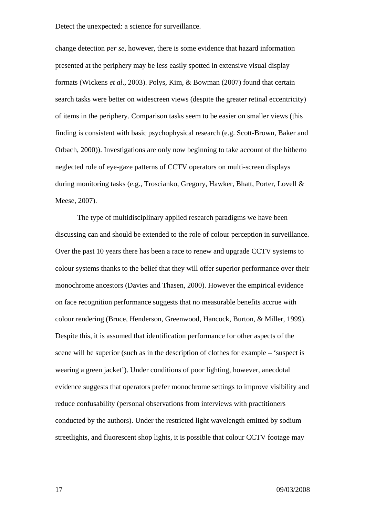change detection *per se*, however, there is some evidence that hazard information presented at the periphery may be less easily spotted in extensive visual display formats (Wickens *et al*., 2003). Polys, Kim, & Bowman (2007) found that certain search tasks were better on widescreen views (despite the greater retinal eccentricity) of items in the periphery. Comparison tasks seem to be easier on smaller views (this finding is consistent with basic psychophysical research (e.g. Scott-Brown, Baker and Orbach, 2000)). Investigations are only now beginning to take account of the hitherto neglected role of eye-gaze patterns of CCTV operators on multi-screen displays during monitoring tasks (e.g., Troscianko, Gregory, Hawker, Bhatt, Porter, Lovell & Meese, 2007).

The type of multidisciplinary applied research paradigms we have been discussing can and should be extended to the role of colour perception in surveillance. Over the past 10 years there has been a race to renew and upgrade CCTV systems to colour systems thanks to the belief that they will offer superior performance over their monochrome ancestors (Davies and Thasen, 2000). However the empirical evidence on face recognition performance suggests that no measurable benefits accrue with colour rendering (Bruce, Henderson, Greenwood, Hancock, Burton, & Miller, 1999). Despite this, it is assumed that identification performance for other aspects of the scene will be superior (such as in the description of clothes for example – 'suspect is wearing a green jacket'). Under conditions of poor lighting, however, anecdotal evidence suggests that operators prefer monochrome settings to improve visibility and reduce confusability (personal observations from interviews with practitioners conducted by the authors). Under the restricted light wavelength emitted by sodium streetlights, and fluorescent shop lights, it is possible that colour CCTV footage may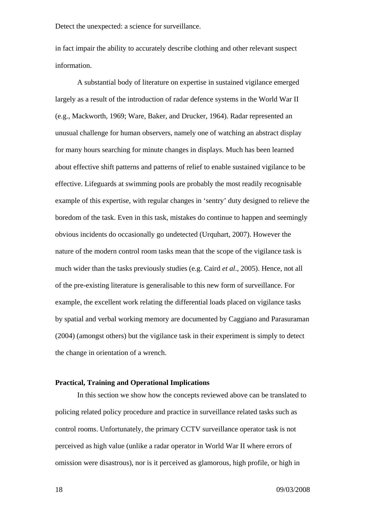in fact impair the ability to accurately describe clothing and other relevant suspect information.

A substantial body of literature on expertise in sustained vigilance emerged largely as a result of the introduction of radar defence systems in the World War II (e.g., Mackworth, 1969; Ware, Baker, and Drucker, 1964). Radar represented an unusual challenge for human observers, namely one of watching an abstract display for many hours searching for minute changes in displays. Much has been learned about effective shift patterns and patterns of relief to enable sustained vigilance to be effective. Lifeguards at swimming pools are probably the most readily recognisable example of this expertise, with regular changes in 'sentry' duty designed to relieve the boredom of the task. Even in this task, mistakes do continue to happen and seemingly obvious incidents do occasionally go undetected (Urquhart, 2007). However the nature of the modern control room tasks mean that the scope of the vigilance task is much wider than the tasks previously studies (e.g. Caird *et al*., 2005). Hence, not all of the pre-existing literature is generalisable to this new form of surveillance. For example, the excellent work relating the differential loads placed on vigilance tasks by spatial and verbal working memory are documented by Caggiano and Parasuraman (2004) (amongst others) but the vigilance task in their experiment is simply to detect the change in orientation of a wrench.

# **Practical, Training and Operational Implications**

In this section we show how the concepts reviewed above can be translated to policing related policy procedure and practice in surveillance related tasks such as control rooms. Unfortunately, the primary CCTV surveillance operator task is not perceived as high value (unlike a radar operator in World War II where errors of omission were disastrous), nor is it perceived as glamorous, high profile, or high in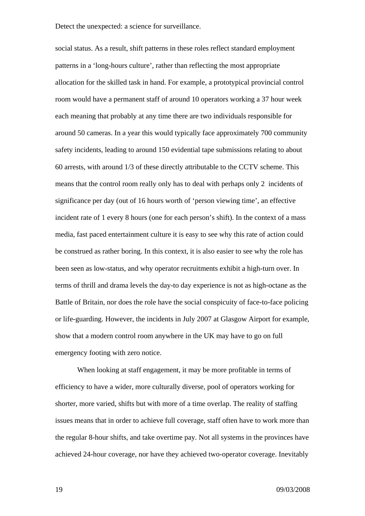social status. As a result, shift patterns in these roles reflect standard employment patterns in a 'long-hours culture', rather than reflecting the most appropriate allocation for the skilled task in hand. For example, a prototypical provincial control room would have a permanent staff of around 10 operators working a 37 hour week each meaning that probably at any time there are two individuals responsible for around 50 cameras. In a year this would typically face approximately 700 community safety incidents, leading to around 150 evidential tape submissions relating to about 60 arrests, with around 1/3 of these directly attributable to the CCTV scheme. This means that the control room really only has to deal with perhaps only 2 incidents of significance per day (out of 16 hours worth of 'person viewing time', an effective incident rate of 1 every 8 hours (one for each person's shift). In the context of a mass media, fast paced entertainment culture it is easy to see why this rate of action could be construed as rather boring. In this context, it is also easier to see why the role has been seen as low-status, and why operator recruitments exhibit a high-turn over. In terms of thrill and drama levels the day-to day experience is not as high-octane as the Battle of Britain, nor does the role have the social conspicuity of face-to-face policing or life-guarding. However, the incidents in July 2007 at Glasgow Airport for example, show that a modern control room anywhere in the UK may have to go on full emergency footing with zero notice.

When looking at staff engagement, it may be more profitable in terms of efficiency to have a wider, more culturally diverse, pool of operators working for shorter, more varied, shifts but with more of a time overlap. The reality of staffing issues means that in order to achieve full coverage, staff often have to work more than the regular 8-hour shifts, and take overtime pay. Not all systems in the provinces have achieved 24-hour coverage, nor have they achieved two-operator coverage. Inevitably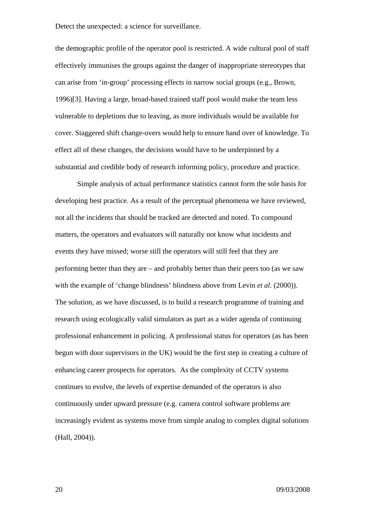the demographic profile of the operator pool is restricted. A wide cultural pool of staff effectively immunises the groups against the danger of inappropriate stereotypes that can arise from 'in-group' processing effects in narrow social groups (e.g., Brown, 1996)[3]. Having a large, broad-based trained staff pool would make the team less vulnerable to depletions due to leaving, as more individuals would be available for cover. Staggered shift change-overs would help to ensure hand over of knowledge. To effect all of these changes, the decisions would have to be underpinned by a substantial and credible body of research informing policy, procedure and practice.

Simple analysis of actual performance statistics cannot form the sole basis for developing best practice. As a result of the perceptual phenomena we have reviewed, not all the incidents that should be tracked are detected and noted. To compound matters, the operators and evaluators will naturally not know what incidents and events they have missed; worse still the operators will still feel that they are performing better than they are – and probably better than their peers too (as we saw with the example of 'change blindness' blindness above from Levin *et al*. (2000)). The solution, as we have discussed, is to build a research programme of training and research using ecologically valid simulators as part as a wider agenda of continuing professional enhancement in policing. A professional status for operators (as has been begun with door supervisors in the UK) would be the first step in creating a culture of enhancing career prospects for operators. As the complexity of CCTV systems continues to evolve, the levels of expertise demanded of the operators is also continuously under upward pressure (e.g. camera control software problems are increasingly evident as systems move from simple analog to complex digital solutions (Hall, 2004)).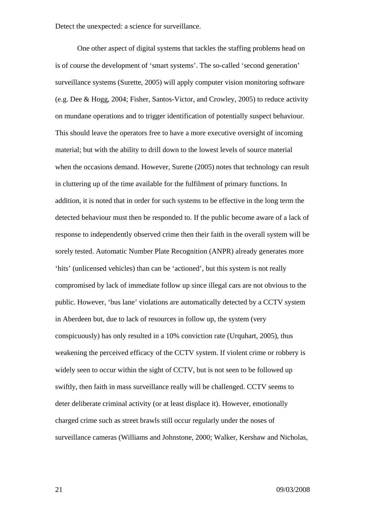One other aspect of digital systems that tackles the staffing problems head on is of course the development of 'smart systems'. The so-called 'second generation' surveillance systems (Surette, 2005) will apply computer vision monitoring software (e.g. Dee & Hogg, 2004; Fisher, Santos-Victor, and Crowley, 2005) to reduce activity on mundane operations and to trigger identification of potentially suspect behaviour. This should leave the operators free to have a more executive oversight of incoming material; but with the ability to drill down to the lowest levels of source material when the occasions demand. However, Surette (2005) notes that technology can result in cluttering up of the time available for the fulfilment of primary functions. In addition, it is noted that in order for such systems to be effective in the long term the detected behaviour must then be responded to. If the public become aware of a lack of response to independently observed crime then their faith in the overall system will be sorely tested. Automatic Number Plate Recognition (ANPR) already generates more 'hits' (unlicensed vehicles) than can be 'actioned', but this system is not really compromised by lack of immediate follow up since illegal cars are not obvious to the public. However, 'bus lane' violations are automatically detected by a CCTV system in Aberdeen but, due to lack of resources in follow up, the system (very conspicuously) has only resulted in a 10% conviction rate (Urquhart, 2005), thus weakening the perceived efficacy of the CCTV system. If violent crime or robbery is widely seen to occur within the sight of CCTV, but is not seen to be followed up swiftly, then faith in mass surveillance really will be challenged. CCTV seems to deter deliberate criminal activity (or at least displace it). However, emotionally charged crime such as street brawls still occur regularly under the noses of surveillance cameras (Williams and Johnstone, 2000; Walker, Kershaw and Nicholas,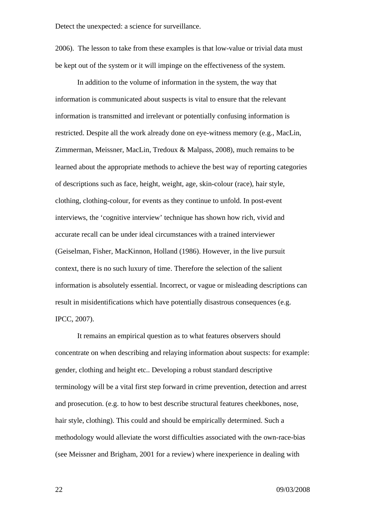2006). The lesson to take from these examples is that low-value or trivial data must be kept out of the system or it will impinge on the effectiveness of the system.

In addition to the volume of information in the system, the way that information is communicated about suspects is vital to ensure that the relevant information is transmitted and irrelevant or potentially confusing information is restricted. Despite all the work already done on eye-witness memory (e.g., MacLin, Zimmerman, Meissner, MacLin, Tredoux & Malpass, 2008), much remains to be learned about the appropriate methods to achieve the best way of reporting categories of descriptions such as face, height, weight, age, skin-colour (race), hair style, clothing, clothing-colour, for events as they continue to unfold. In post-event interviews, the 'cognitive interview' technique has shown how rich, vivid and accurate recall can be under ideal circumstances with a trained interviewer (Geiselman, Fisher, MacKinnon, Holland (1986). However, in the live pursuit context, there is no such luxury of time. Therefore the selection of the salient information is absolutely essential. Incorrect, or vague or misleading descriptions can result in misidentifications which have potentially disastrous consequences (e.g. IPCC, 2007).

It remains an empirical question as to what features observers should concentrate on when describing and relaying information about suspects: for example: gender, clothing and height etc.. Developing a robust standard descriptive terminology will be a vital first step forward in crime prevention, detection and arrest and prosecution. (e.g. to how to best describe structural features cheekbones, nose, hair style, clothing). This could and should be empirically determined. Such a methodology would alleviate the worst difficulties associated with the own-race-bias (see Meissner and Brigham, 2001 for a review) where inexperience in dealing with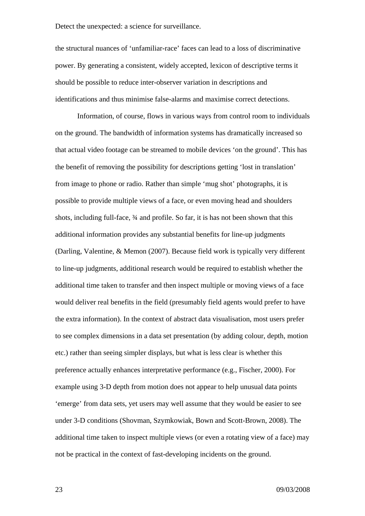the structural nuances of 'unfamiliar-race' faces can lead to a loss of discriminative power. By generating a consistent, widely accepted, lexicon of descriptive terms it should be possible to reduce inter-observer variation in descriptions and identifications and thus minimise false-alarms and maximise correct detections.

 Information, of course, flows in various ways from control room to individuals on the ground. The bandwidth of information systems has dramatically increased so that actual video footage can be streamed to mobile devices 'on the ground'. This has the benefit of removing the possibility for descriptions getting 'lost in translation' from image to phone or radio. Rather than simple 'mug shot' photographs, it is possible to provide multiple views of a face, or even moving head and shoulders shots, including full-face, ¾ and profile. So far, it is has not been shown that this additional information provides any substantial benefits for line-up judgments (Darling, Valentine, & Memon (2007). Because field work is typically very different to line-up judgments, additional research would be required to establish whether the additional time taken to transfer and then inspect multiple or moving views of a face would deliver real benefits in the field (presumably field agents would prefer to have the extra information). In the context of abstract data visualisation, most users prefer to see complex dimensions in a data set presentation (by adding colour, depth, motion etc.) rather than seeing simpler displays, but what is less clear is whether this preference actually enhances interpretative performance (e.g., Fischer, 2000). For example using 3-D depth from motion does not appear to help unusual data points 'emerge' from data sets, yet users may well assume that they would be easier to see under 3-D conditions (Shovman, Szymkowiak, Bown and Scott-Brown, 2008). The additional time taken to inspect multiple views (or even a rotating view of a face) may not be practical in the context of fast-developing incidents on the ground.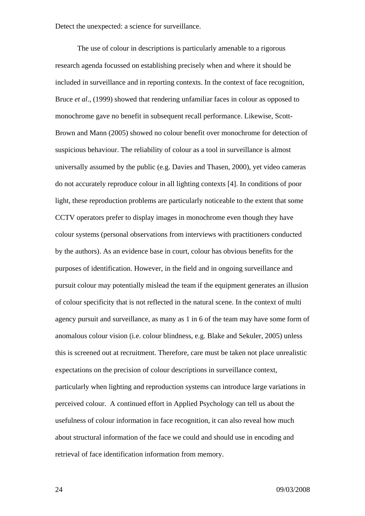The use of colour in descriptions is particularly amenable to a rigorous research agenda focussed on establishing precisely when and where it should be included in surveillance and in reporting contexts. In the context of face recognition, Bruce *et al*., (1999) showed that rendering unfamiliar faces in colour as opposed to monochrome gave no benefit in subsequent recall performance. Likewise, Scott-Brown and Mann (2005) showed no colour benefit over monochrome for detection of suspicious behaviour. The reliability of colour as a tool in surveillance is almost universally assumed by the public (e.g. Davies and Thasen, 2000), yet video cameras do not accurately reproduce colour in all lighting contexts [4]. In conditions of poor light, these reproduction problems are particularly noticeable to the extent that some CCTV operators prefer to display images in monochrome even though they have colour systems (personal observations from interviews with practitioners conducted by the authors). As an evidence base in court, colour has obvious benefits for the purposes of identification. However, in the field and in ongoing surveillance and pursuit colour may potentially mislead the team if the equipment generates an illusion of colour specificity that is not reflected in the natural scene. In the context of multi agency pursuit and surveillance, as many as 1 in 6 of the team may have some form of anomalous colour vision (i.e. colour blindness, e.g. Blake and Sekuler, 2005) unless this is screened out at recruitment. Therefore, care must be taken not place unrealistic expectations on the precision of colour descriptions in surveillance context, particularly when lighting and reproduction systems can introduce large variations in perceived colour. A continued effort in Applied Psychology can tell us about the usefulness of colour information in face recognition, it can also reveal how much about structural information of the face we could and should use in encoding and retrieval of face identification information from memory.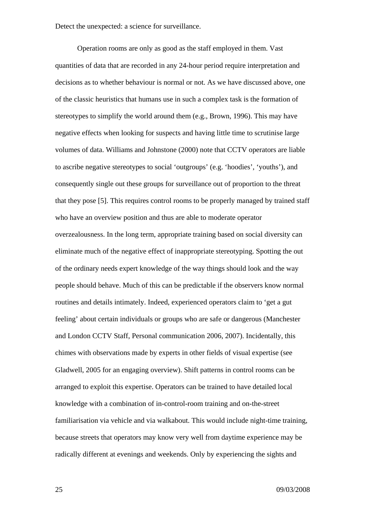Operation rooms are only as good as the staff employed in them. Vast quantities of data that are recorded in any 24-hour period require interpretation and decisions as to whether behaviour is normal or not. As we have discussed above, one of the classic heuristics that humans use in such a complex task is the formation of stereotypes to simplify the world around them (e.g., Brown, 1996). This may have negative effects when looking for suspects and having little time to scrutinise large volumes of data. Williams and Johnstone (2000) note that CCTV operators are liable to ascribe negative stereotypes to social 'outgroups' (e.g. 'hoodies', 'youths'), and consequently single out these groups for surveillance out of proportion to the threat that they pose [5]. This requires control rooms to be properly managed by trained staff who have an overview position and thus are able to moderate operator overzealousness. In the long term, appropriate training based on social diversity can eliminate much of the negative effect of inappropriate stereotyping. Spotting the out of the ordinary needs expert knowledge of the way things should look and the way people should behave. Much of this can be predictable if the observers know normal routines and details intimately. Indeed, experienced operators claim to 'get a gut feeling' about certain individuals or groups who are safe or dangerous (Manchester and London CCTV Staff, Personal communication 2006, 2007). Incidentally, this chimes with observations made by experts in other fields of visual expertise (see Gladwell, 2005 for an engaging overview). Shift patterns in control rooms can be arranged to exploit this expertise. Operators can be trained to have detailed local knowledge with a combination of in-control-room training and on-the-street familiarisation via vehicle and via walkabout. This would include night-time training, because streets that operators may know very well from daytime experience may be radically different at evenings and weekends. Only by experiencing the sights and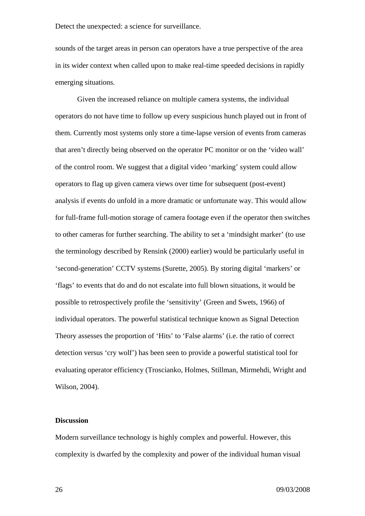sounds of the target areas in person can operators have a true perspective of the area in its wider context when called upon to make real-time speeded decisions in rapidly emerging situations.

Given the increased reliance on multiple camera systems, the individual operators do not have time to follow up every suspicious hunch played out in front of them. Currently most systems only store a time-lapse version of events from cameras that aren't directly being observed on the operator PC monitor or on the 'video wall' of the control room. We suggest that a digital video 'marking' system could allow operators to flag up given camera views over time for subsequent (post-event) analysis if events do unfold in a more dramatic or unfortunate way. This would allow for full-frame full-motion storage of camera footage even if the operator then switches to other cameras for further searching. The ability to set a 'mindsight marker' (to use the terminology described by Rensink (2000) earlier) would be particularly useful in 'second-generation' CCTV systems (Surette, 2005). By storing digital 'markers' or 'flags' to events that do and do not escalate into full blown situations, it would be possible to retrospectively profile the 'sensitivity' (Green and Swets, 1966) of individual operators. The powerful statistical technique known as Signal Detection Theory assesses the proportion of 'Hits' to 'False alarms' (i.e. the ratio of correct detection versus 'cry wolf') has been seen to provide a powerful statistical tool for evaluating operator efficiency (Troscianko, Holmes, Stillman, Mirmehdi, Wright and Wilson, 2004).

## **Discussion**

Modern surveillance technology is highly complex and powerful. However, this complexity is dwarfed by the complexity and power of the individual human visual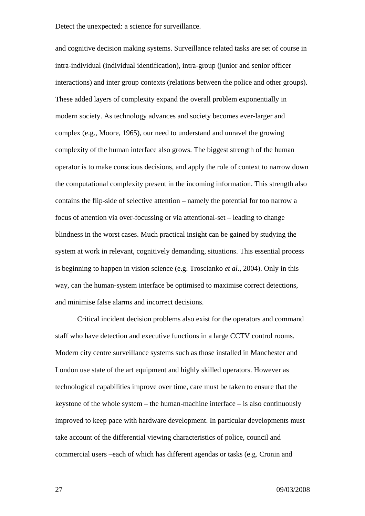and cognitive decision making systems. Surveillance related tasks are set of course in intra-individual (individual identification), intra-group (junior and senior officer interactions) and inter group contexts (relations between the police and other groups). These added layers of complexity expand the overall problem exponentially in modern society. As technology advances and society becomes ever-larger and complex (e.g., Moore, 1965), our need to understand and unravel the growing complexity of the human interface also grows. The biggest strength of the human operator is to make conscious decisions, and apply the role of context to narrow down the computational complexity present in the incoming information. This strength also contains the flip-side of selective attention – namely the potential for too narrow a focus of attention via over-focussing or via attentional-set – leading to change blindness in the worst cases. Much practical insight can be gained by studying the system at work in relevant, cognitively demanding, situations. This essential process is beginning to happen in vision science (e.g. Troscianko *et al*., 2004). Only in this way, can the human-system interface be optimised to maximise correct detections, and minimise false alarms and incorrect decisions.

Critical incident decision problems also exist for the operators and command staff who have detection and executive functions in a large CCTV control rooms. Modern city centre surveillance systems such as those installed in Manchester and London use state of the art equipment and highly skilled operators. However as technological capabilities improve over time, care must be taken to ensure that the keystone of the whole system – the human-machine interface – is also continuously improved to keep pace with hardware development. In particular developments must take account of the differential viewing characteristics of police, council and commercial users –each of which has different agendas or tasks (e.g. Cronin and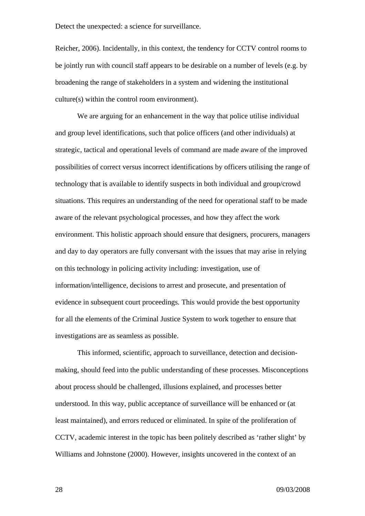Reicher, 2006). Incidentally, in this context, the tendency for CCTV control rooms to be jointly run with council staff appears to be desirable on a number of levels (e.g. by broadening the range of stakeholders in a system and widening the institutional culture(s) within the control room environment).

We are arguing for an enhancement in the way that police utilise individual and group level identifications, such that police officers (and other individuals) at strategic, tactical and operational levels of command are made aware of the improved possibilities of correct versus incorrect identifications by officers utilising the range of technology that is available to identify suspects in both individual and group/crowd situations. This requires an understanding of the need for operational staff to be made aware of the relevant psychological processes, and how they affect the work environment. This holistic approach should ensure that designers, procurers, managers and day to day operators are fully conversant with the issues that may arise in relying on this technology in policing activity including: investigation, use of information/intelligence, decisions to arrest and prosecute, and presentation of evidence in subsequent court proceedings. This would provide the best opportunity for all the elements of the Criminal Justice System to work together to ensure that investigations are as seamless as possible.

This informed, scientific, approach to surveillance, detection and decisionmaking, should feed into the public understanding of these processes. Misconceptions about process should be challenged, illusions explained, and processes better understood. In this way, public acceptance of surveillance will be enhanced or (at least maintained), and errors reduced or eliminated. In spite of the proliferation of CCTV, academic interest in the topic has been politely described as 'rather slight' by Williams and Johnstone (2000). However, insights uncovered in the context of an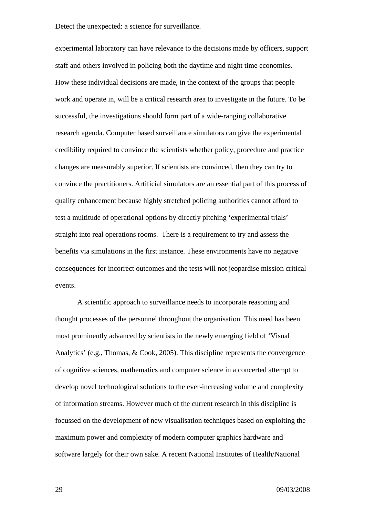experimental laboratory can have relevance to the decisions made by officers, support staff and others involved in policing both the daytime and night time economies. How these individual decisions are made, in the context of the groups that people work and operate in, will be a critical research area to investigate in the future. To be successful, the investigations should form part of a wide-ranging collaborative research agenda. Computer based surveillance simulators can give the experimental credibility required to convince the scientists whether policy, procedure and practice changes are measurably superior. If scientists are convinced, then they can try to convince the practitioners. Artificial simulators are an essential part of this process of quality enhancement because highly stretched policing authorities cannot afford to test a multitude of operational options by directly pitching 'experimental trials' straight into real operations rooms. There is a requirement to try and assess the benefits via simulations in the first instance. These environments have no negative consequences for incorrect outcomes and the tests will not jeopardise mission critical events.

A scientific approach to surveillance needs to incorporate reasoning and thought processes of the personnel throughout the organisation. This need has been most prominently advanced by scientists in the newly emerging field of 'Visual Analytics' (e.g., Thomas, & Cook, 2005). This discipline represents the convergence of cognitive sciences, mathematics and computer science in a concerted attempt to develop novel technological solutions to the ever-increasing volume and complexity of information streams. However much of the current research in this discipline is focussed on the development of new visualisation techniques based on exploiting the maximum power and complexity of modern computer graphics hardware and software largely for their own sake. A recent National Institutes of Health/National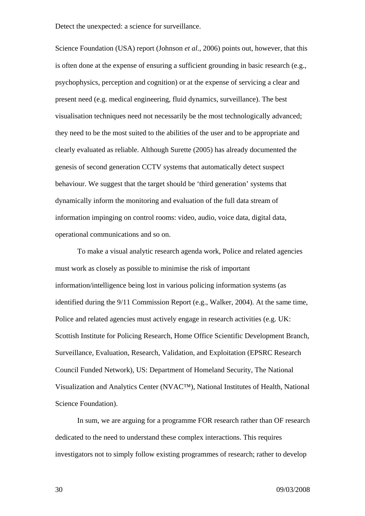Science Foundation (USA) report (Johnson *et al.*, 2006) points out, however, that this is often done at the expense of ensuring a sufficient grounding in basic research (e.g., psychophysics, perception and cognition) or at the expense of servicing a clear and present need (e.g. medical engineering, fluid dynamics, surveillance). The best visualisation techniques need not necessarily be the most technologically advanced; they need to be the most suited to the abilities of the user and to be appropriate and clearly evaluated as reliable. Although Surette (2005) has already documented the genesis of second generation CCTV systems that automatically detect suspect behaviour. We suggest that the target should be 'third generation' systems that dynamically inform the monitoring and evaluation of the full data stream of information impinging on control rooms: video, audio, voice data, digital data, operational communications and so on.

To make a visual analytic research agenda work, Police and related agencies must work as closely as possible to minimise the risk of important information/intelligence being lost in various policing information systems (as identified during the 9/11 Commission Report (e.g., Walker, 2004). At the same time, Police and related agencies must actively engage in research activities (e.g. UK: Scottish Institute for Policing Research, Home Office Scientific Development Branch, Surveillance, Evaluation, Research, Validation, and Exploitation (EPSRC Research Council Funded Network), US: Department of Homeland Security, The National Visualization and Analytics Center (NVAC™), National Institutes of Health, National Science Foundation).

In sum, we are arguing for a programme FOR research rather than OF research dedicated to the need to understand these complex interactions. This requires investigators not to simply follow existing programmes of research; rather to develop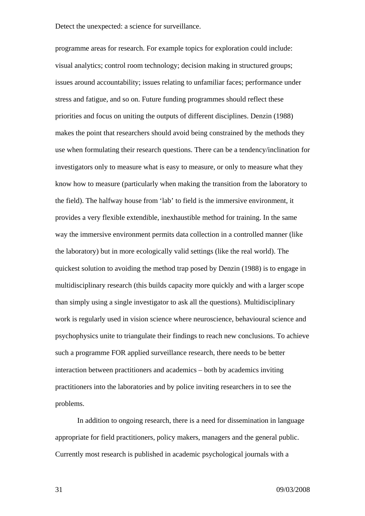programme areas for research. For example topics for exploration could include: visual analytics; control room technology; decision making in structured groups; issues around accountability; issues relating to unfamiliar faces; performance under stress and fatigue, and so on. Future funding programmes should reflect these priorities and focus on uniting the outputs of different disciplines. Denzin (1988) makes the point that researchers should avoid being constrained by the methods they use when formulating their research questions. There can be a tendency/inclination for investigators only to measure what is easy to measure, or only to measure what they know how to measure (particularly when making the transition from the laboratory to the field). The halfway house from 'lab' to field is the immersive environment, it provides a very flexible extendible, inexhaustible method for training. In the same way the immersive environment permits data collection in a controlled manner (like the laboratory) but in more ecologically valid settings (like the real world). The quickest solution to avoiding the method trap posed by Denzin (1988) is to engage in multidisciplinary research (this builds capacity more quickly and with a larger scope than simply using a single investigator to ask all the questions). Multidisciplinary work is regularly used in vision science where neuroscience, behavioural science and psychophysics unite to triangulate their findings to reach new conclusions. To achieve such a programme FOR applied surveillance research, there needs to be better interaction between practitioners and academics – both by academics inviting practitioners into the laboratories and by police inviting researchers in to see the problems.

In addition to ongoing research, there is a need for dissemination in language appropriate for field practitioners, policy makers, managers and the general public. Currently most research is published in academic psychological journals with a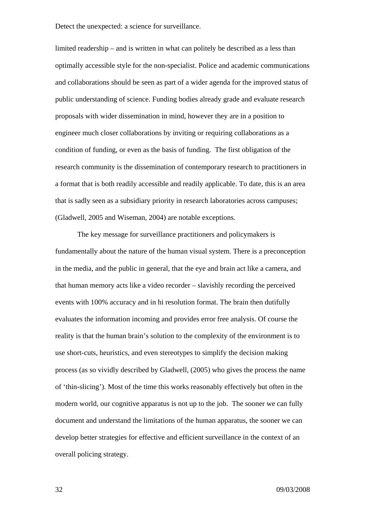limited readership – and is written in what can politely be described as a less than optimally accessible style for the non-specialist. Police and academic communications and collaborations should be seen as part of a wider agenda for the improved status of public understanding of science. Funding bodies already grade and evaluate research proposals with wider dissemination in mind, however they are in a position to engineer much closer collaborations by inviting or requiring collaborations as a condition of funding, or even as the basis of funding. The first obligation of the research community is the dissemination of contemporary research to practitioners in a format that is both readily accessible and readily applicable. To date, this is an area that is sadly seen as a subsidiary priority in research laboratories across campuses; (Gladwell, 2005 and Wiseman, 2004) are notable exceptions.

The key message for surveillance practitioners and policymakers is fundamentally about the nature of the human visual system. There is a preconception in the media, and the public in general, that the eye and brain act like a camera, and that human memory acts like a video recorder – slavishly recording the perceived events with 100% accuracy and in hi resolution format. The brain then dutifully evaluates the information incoming and provides error free analysis. Of course the reality is that the human brain's solution to the complexity of the environment is to use short-cuts, heuristics, and even stereotypes to simplify the decision making process (as so vividly described by Gladwell, (2005) who gives the process the name of 'thin-slicing'). Most of the time this works reasonably effectively but often in the modern world, our cognitive apparatus is not up to the job. The sooner we can fully document and understand the limitations of the human apparatus, the sooner we can develop better strategies for effective and efficient surveillance in the context of an overall policing strategy.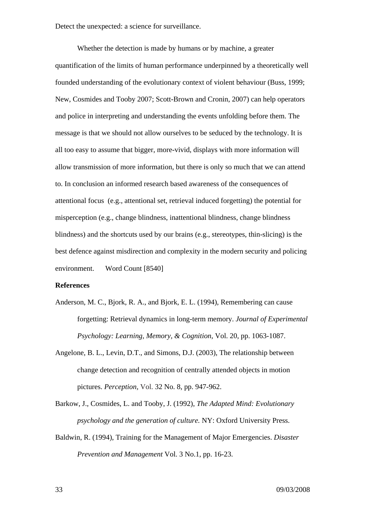Whether the detection is made by humans or by machine, a greater quantification of the limits of human performance underpinned by a theoretically well founded understanding of the evolutionary context of violent behaviour (Buss, 1999; New, Cosmides and Tooby 2007; Scott-Brown and Cronin, 2007) can help operators and police in interpreting and understanding the events unfolding before them. The message is that we should not allow ourselves to be seduced by the technology. It is all too easy to assume that bigger, more-vivid, displays with more information will allow transmission of more information, but there is only so much that we can attend to. In conclusion an informed research based awareness of the consequences of attentional focus (e.g., attentional set, retrieval induced forgetting) the potential for misperception (e.g., change blindness, inattentional blindness, change blindness blindness) and the shortcuts used by our brains (e.g., stereotypes, thin-slicing) is the best defence against misdirection and complexity in the modern security and policing environment. Word Count [8540]

### **References**

- Anderson, M. C., Bjork, R. A., and Bjork, E. L. (1994), Remembering can cause forgetting: Retrieval dynamics in long-term memory. *Journal of Experimental Psychology: Learning, Memory, & Cognition*, Vol. 20, pp. 1063-1087.
- Angelone, B. L., Levin, D.T., and Simons, D.J. (2003), The relationship between change detection and recognition of centrally attended objects in motion pictures. *Perception,* Vol. 32 No. 8, pp. 947-962.
- Barkow, J., Cosmides, L. and Tooby, J. (1992), *The Adapted Mind: Evolutionary psychology and the generation of culture.* NY: Oxford University Press.
- Baldwin, R. (1994), Training for the Management of Major Emergencies. *Disaster Prevention and Management* Vol. 3 No.1, pp. 16-23.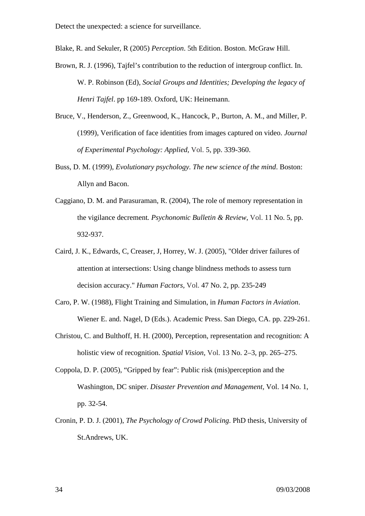Blake, R. and Sekuler, R (2005) *Perception*. 5th Edition. Boston. McGraw Hill.

- Brown, R. J. (1996), Tajfel's contribution to the reduction of intergroup conflict. In. W. P. Robinson (Ed), *Social Groups and Identities; Developing the legacy of Henri Tajfel*. pp 169-189. Oxford, UK: Heinemann.
- Bruce, V., Henderson, Z., Greenwood, K., Hancock, P., Burton, A. M., and Miller, P. (1999), Verification of face identities from images captured on video. *Journal of Experimental Psychology: Applied,* Vol. 5, pp. 339-360.
- Buss, D. M. (1999), *Evolutionary psychology. The new science of the mind*. Boston: Allyn and Bacon.
- Caggiano, D. M. and Parasuraman, R. (2004), The role of memory representation in the vigilance decrement*. Psychonomic Bulletin & Review*, Vol. 11 No. 5, pp. 932-937.
- Caird, J. K., Edwards, C, Creaser, J, Horrey, W. J. (2005), "Older driver failures of attention at intersections: Using change blindness methods to assess turn decision accuracy." *Human Factors,* Vol. 47 No. 2, pp. 235-249
- Caro, P. W. (1988), Flight Training and Simulation, in *Human Factors in Aviation*. Wiener E. and. Nagel, D (Eds.). Academic Press. San Diego, CA. pp. 229-261.
- Christou, C. and Bulthoff, H. H. (2000), Perception, representation and recognition: A holistic view of recognition. *Spatial Vision*, Vol. 13 No. 2–3, pp. 265–275.
- Coppola, D. P. (2005), "Gripped by fear": Public risk (mis)perception and the Washington, DC sniper. *Disaster Prevention and Management,* Vol. 14 No. 1, pp. 32-54.
- Cronin, P. D. J. (2001), *The Psychology of Crowd Policing*. PhD thesis, University of St.Andrews, UK.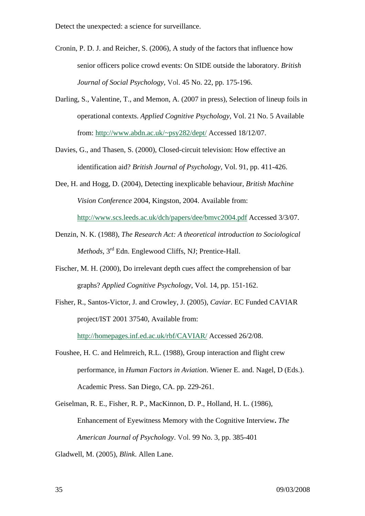- Cronin, P. D. J. and Reicher, S. (2006), A study of the factors that influence how senior officers police crowd events: On SIDE outside the laboratory. *British Journal of Social Psychology,* Vol. 45 No. 22, pp. 175-196.
- Darling, S., Valentine, T., and Memon, A. (2007 in press), Selection of lineup foils in operational contexts. *Applied Cognitive Psychology*, Vol. 21 No. 5 Available from: http://www.abdn.ac.uk/~psy282/dept/ Accessed 18/12/07.
- Davies, G., and Thasen, S. (2000), Closed-circuit television: How effective an identification aid? *British Journal of Psychology,* Vol. 91, pp. 411-426.
- Dee, H. and Hogg, D. (2004), Detecting inexplicable behaviour, *British Machine Vision Conference* 2004, Kingston, 2004. Available from: http://www.scs.leeds.ac.uk/dch/papers/dee/bmvc2004.pdf Accessed 3/3/07.
- Denzin, N. K. (1988), *The Research Act: A theoretical introduction to Sociological Methods*, 3<sup>rd</sup> Edn. Englewood Cliffs, NJ; Prentice-Hall.
- Fischer, M. H. (2000), Do irrelevant depth cues affect the comprehension of bar graphs? *Applied Cognitive Psychology*, Vol. 14, pp. 151-162.
- Fisher, R., Santos-Victor, J. and Crowley, J. (2005), *Caviar*. EC Funded CAVIAR project/IST 2001 37540, Available from: http://homepages.inf.ed.ac.uk/rbf/CAVIAR/ Accessed 26/2/08.
- Foushee, H. C. and Helmreich, R.L. (1988), Group interaction and flight crew performance, in *Human Factors in Aviation*. Wiener E. and. Nagel, D (Eds.). Academic Press. San Diego, CA. pp. 229-261.
- Geiselman, R. E., Fisher, R. P., MacKinnon, D. P., Holland, H. L. (1986), Enhancement of Eyewitness Memory with the Cognitive Interview**.** *The American Journal of Psychology*. Vol. 99 No. 3, pp. 385-401
- Gladwell, M. (2005), *Blink*. Allen Lane.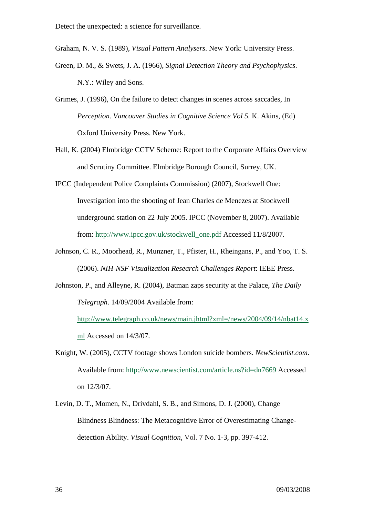Graham, N. V. S. (1989), *Visual Pattern Analysers*. New York: University Press.

- Green, D. M., & Swets, J. A. (1966), *Signal Detection Theory and Psychophysics*. N.Y.: Wiley and Sons.
- Grimes, J. (1996), On the failure to detect changes in scenes across saccades*,* In *Perception. Vancouver Studies in Cognitive Science Vol 5.* K. Akins, (Ed) Oxford University Press. New York.
- Hall, K. (2004) Elmbridge CCTV Scheme: Report to the Corporate Affairs Overview and Scrutiny Committee. Elmbridge Borough Council, Surrey, UK.
- IPCC (Independent Police Complaints Commission) (2007), Stockwell One: Investigation into the shooting of Jean Charles de Menezes at Stockwell underground station on 22 July 2005. IPCC (November 8, 2007). Available from: http://www.ipcc.gov.uk/stockwell\_one.pdf Accessed 11/8/2007.
- Johnson, C. R., Moorhead, R., Munzner, T., Pfister, H., Rheingans, P., and Yoo, T. S. (2006). *NIH-NSF Visualization Research Challenges Report*: IEEE Press.
- Johnston, P., and Alleyne, R. (2004), Batman zaps security at the Palace, *The Daily Telegraph*. 14/09/2004 Available from:

http://www.telegraph.co.uk/news/main.jhtml?xml=/news/2004/09/14/nbat14.x ml Accessed on 14/3/07.

- Knight, W. (2005), CCTV footage shows London suicide bombers. *NewScientist.com*. Available from: http://www.newscientist.com/article.ns?id=dn7669 Accessed on 12/3/07.
- Levin, D. T., Momen, N., Drivdahl, S. B., and Simons, D. J. (2000), Change Blindness Blindness: The Metacognitive Error of Overestimating Changedetection Ability. *Visual Cognition,* Vol. 7 No. 1-3, pp. 397-412.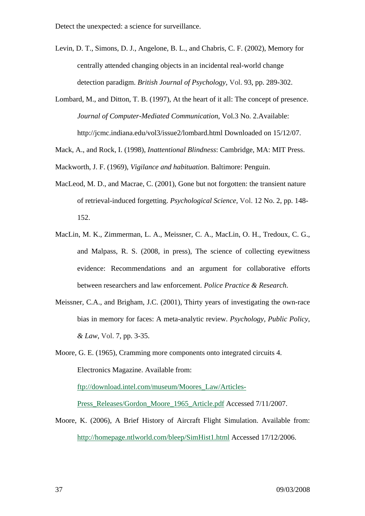- Levin, D. T., Simons, D. J., Angelone, B. L., and Chabris, C. F. (2002), Memory for centrally attended changing objects in an incidental real-world change detection paradigm. *British Journal of Psychology,* Vol. 93, pp. 289-302.
- Lombard, M., and Ditton, T. B. (1997), At the heart of it all: The concept of presence. *Journal of Computer-Mediated Communication*, Vol.3 No. 2.Available: http://jcmc.indiana.edu/vol3/issue2/lombard.html Downloaded on 15/12/07.
- Mack, A., and Rock, I. (1998), *Inattentional Blindness*: Cambridge, MA: MIT Press.
- Mackworth, J. F. (1969), *Vigilance and habituation*. Baltimore: Penguin.
- MacLeod, M. D., and Macrae, C. (2001), Gone but not forgotten: the transient nature of retrieval-induced forgetting. *Psychological Science,* Vol. 12 No. 2, pp. 148- 152.
- MacLin, M. K., Zimmerman, L. A., Meissner, C. A., MacLin, O. H., Tredoux, C. G., and Malpass, R. S. (2008, in press), The science of collecting eyewitness evidence: Recommendations and an argument for collaborative efforts between researchers and law enforcement. *Police Practice & Research*.
- Meissner, C.A., and Brigham, J.C. (2001), Thirty years of investigating the own-race bias in memory for faces: A meta-analytic review. *Psychology, Public Policy, & Law*, Vol. 7, pp. 3-35.
- Moore, G. E. (1965), Cramming more components onto integrated circuits 4. Electronics Magazine. Available from:

ftp://download.intel.com/museum/Moores\_Law/Articles-

Press\_Releases/Gordon\_Moore\_1965\_Article.pdf Accessed 7/11/2007.

Moore, K. (2006), A Brief History of Aircraft Flight Simulation. Available from: http://homepage.ntlworld.com/bleep/SimHist1.html Accessed 17/12/2006.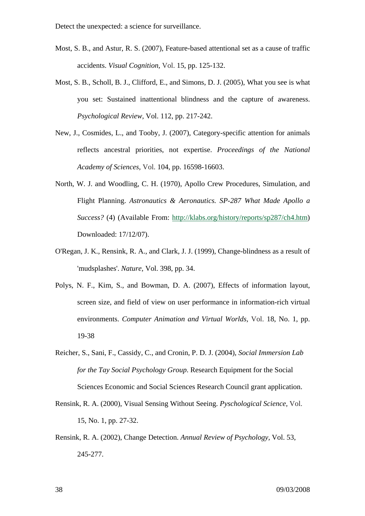- Most, S. B., and Astur, R. S. (2007), Feature-based attentional set as a cause of traffic accidents. *Visual Cognition,* Vol. 15, pp. 125-132.
- Most, S. B., Scholl, B. J., Clifford, E., and Simons, D. J. (2005), What you see is what you set: Sustained inattentional blindness and the capture of awareness. *Psychological Review,* Vol. 112, pp. 217-242.
- New, J., Cosmides, L., and Tooby, J. (2007), Category-specific attention for animals reflects ancestral priorities, not expertise. *Proceedings of the National Academy of Sciences,* Vol. 104, pp. 16598-16603.
- North, W. J. and Woodling, C. H. (1970), Apollo Crew Procedures, Simulation, and Flight Planning. *Astronautics & Aeronautics. SP-287 What Made Apollo a Success?* (4) (Available From: http://klabs.org/history/reports/sp287/ch4.htm) Downloaded: 17/12/07).
- O'Regan, J. K., Rensink, R. A., and Clark, J. J. (1999), Change-blindness as a result of 'mudsplashes'. *Nature,* Vol. 398, pp. 34.
- Polys, N. F., Kim, S., and Bowman, D. A. (2007), Effects of information layout, screen size, and field of view on user performance in information-rich virtual environments. *Computer Animation and Virtual Worlds,* Vol. 18, No. 1, pp. 19-38
- Reicher, S., Sani, F., Cassidy, C., and Cronin, P. D. J. (2004), *Social Immersion Lab for the Tay Social Psychology Group*. Research Equipment for the Social Sciences Economic and Social Sciences Research Council grant application.
- Rensink, R. A. (2000), Visual Sensing Without Seeing. *Pyschological Science,* Vol. 15, No. 1, pp. 27-32.
- Rensink, R. A. (2002), Change Detection. *Annual Review of Psychology,* Vol. 53, 245-277.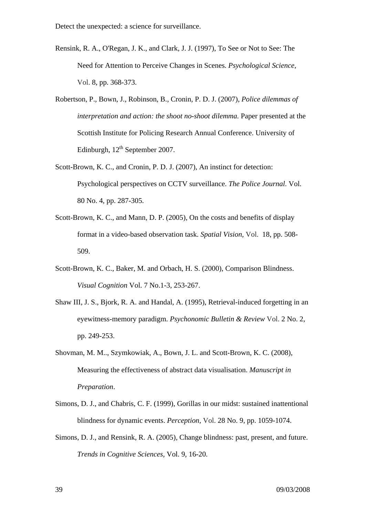- Rensink, R. A., O'Regan, J. K., and Clark, J. J. (1997), To See or Not to See: The Need for Attention to Perceive Changes in Scenes. *Psychological Science,*  Vol. 8, pp. 368-373.
- Robertson, P., Bown, J., Robinson, B., Cronin, P. D. J. (2007), *Police dilemmas of*  interpretation and action: the shoot no-shoot dilemma. Paper presented at the Scottish Institute for Policing Research Annual Conference. University of Edinburgh,  $12^{th}$  September 2007.
- Scott-Brown, K. C., and Cronin, P. D. J. (2007), An instinct for detection: Psychological perspectives on CCTV surveillance. *The Police Journal*. Vol. 80 No. 4, pp. 287-305.
- Scott-Brown, K. C., and Mann, D. P. (2005), On the costs and benefits of display format in a video-based observation task. *Spatial Vision,* Vol. 18, pp. 508- 509.
- Scott-Brown, K. C., Baker, M. and Orbach, H. S. (2000), Comparison Blindness. *Visual Cognition* Vol. 7 No.1-3, 253-267.
- Shaw III, J. S., Bjork, R. A. and Handal, A. (1995), Retrieval-induced forgetting in an eyewitness-memory paradigm. *Psychonomic Bulletin & Review* Vol. 2 No. 2, pp. 249-253.
- Shovman, M. M.., Szymkowiak, A., Bown, J. L. and Scott-Brown, K. C. (2008), Measuring the effectiveness of abstract data visualisation. *Manuscript in Preparation*.
- Simons, D. J., and Chabris, C. F. (1999), Gorillas in our midst: sustained inattentional blindness for dynamic events. *Perception,* Vol. 28 No. 9, pp. 1059-1074.
- Simons, D. J., and Rensink, R. A. (2005), Change blindness: past, present, and future. *Trends in Cognitive Sciences,* Vol. 9, 16-20.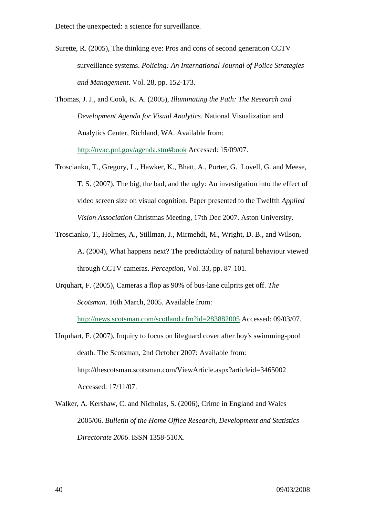- Surette, R. (2005), The thinking eye: Pros and cons of second generation CCTV surveillance systems. *Policing: An International Journal of Police Strategies and Management*. Vol. 28, pp. 152-173.
- Thomas, J. J., and Cook, K. A. (2005), *Illuminating the Path: The Research and Development Agenda for Visual Analytics*. National Visualization and Analytics Center, Richland, WA. Available from: http://nvac.pnl.gov/agenda.stm#book Accessed: 15/09/07.
- Troscianko, T., Gregory, L., Hawker, K., Bhatt, A., Porter, G. Lovell, G. and Meese, T. S. (2007), The big, the bad, and the ugly: An investigation into the effect of video screen size on visual cognition. Paper presented to the Twelfth *Applied Vision Association* Christmas Meeting, 17th Dec 2007. Aston University.
- Troscianko, T., Holmes, A., Stillman, J., Mirmehdi, M., Wright, D. B., and Wilson, A. (2004), What happens next? The predictability of natural behaviour viewed through CCTV cameras. *Perception,* Vol. 33, pp. 87-101.
- Urquhart, F. (2005), Cameras a flop as 90% of bus-lane culprits get off. *The Scotsman*. 16th March, 2005. Available from:

http://news.scotsman.com/scotland.cfm?id=283882005 Accessed: 09/03/07.

- Urquhart, F. (2007), Inquiry to focus on lifeguard cover after boy's swimming-pool death. The Scotsman, 2nd October 2007: Available from: http://thescotsman.scotsman.com/ViewArticle.aspx?articleid=3465002 Accessed: 17/11/07.
- Walker, A. Kershaw, C. and Nicholas, S. (2006), Crime in England and Wales 2005/06. *Bulletin of the Home Office Research, Development and Statistics Directorate 2006*. ISSN 1358-510X.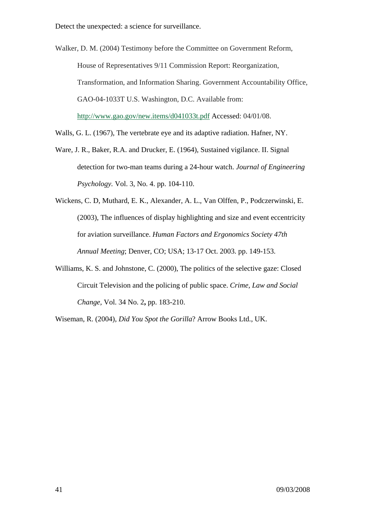Walker, D. M. (2004) Testimony before the Committee on Government Reform, House of Representatives 9/11 Commission Report: Reorganization, Transformation, and Information Sharing. Government Accountability Office, GAO-04-1033T U.S. Washington, D.C. Available from: http://www.gao.gov/new.items/d041033t.pdf Accessed: 04/01/08.

- Walls, G. L. (1967), The vertebrate eye and its adaptive radiation. Hafner, NY.
- Ware, J. R., Baker, R.A. and Drucker, E. (1964), Sustained vigilance. II. Signal detection for two-man teams during a 24-hour watch. *Journal of Engineering Psychology.* Vol. 3, No. 4. pp. 104-110.
- Wickens, C. D, Muthard, E. K., Alexander, A. L., Van Olffen, P., Podczerwinski, E. (2003), The influences of display highlighting and size and event eccentricity for aviation surveillance. *Human Factors and Ergonomics Society 47th Annual Meeting*; Denver, CO; USA; 13-17 Oct. 2003. pp. 149-153.
- Williams, K. S. and Johnstone, C. (2000), The politics of the selective gaze: Closed Circuit Television and the policing of public space. *Crime, Law and Social Change,* Vol. 34 No. 2**,** pp. 183-210.

Wiseman, R. (2004), *Did You Spot the Gorilla*? Arrow Books Ltd., UK.